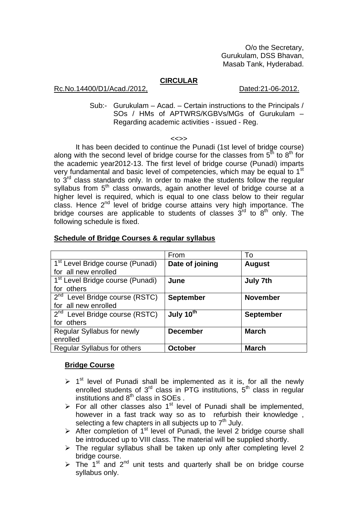O/o the Secretary, Gurukulam, DSS Bhavan, Masab Tank, Hyderabad.

### **CIRCULAR**

### Rc.No.14400/D1/Acad./2012, Dated:21-06-2012.

Sub:- Gurukulam – Acad. – Certain instructions to the Principals / SOs / HMs of APTWRS/KGBVs/MGs of Gurukulam – Regarding academic activities - issued - Reg.

#### <<>>

 It has been decided to continue the Punadi (1st level of bridge course) along with the second level of bridge course for the classes from  $5<sup>th</sup>$  to  $8<sup>th</sup>$  for the academic year2012-13. The first level of bridge course (Punadi) imparts very fundamental and basic level of competencies, which may be equal to 1<sup>st</sup> to  $3<sup>rd</sup>$  class standards only. In order to make the students follow the regular syllabus from  $5<sup>th</sup>$  class onwards, again another level of bridge course at a higher level is required, which is equal to one class below to their regular class. Hence 2nd level of bridge course attains very high importance. The bridge courses are applicable to students of classes  $3<sup>rd</sup>$  to  $8<sup>th</sup>$  only. The following schedule is fixed.

|                                                | From                  | To               |  |
|------------------------------------------------|-----------------------|------------------|--|
| 1 <sup>st</sup> Level Bridge course (Punadi)   | Date of joining       | <b>August</b>    |  |
| for all new enrolled                           |                       |                  |  |
| 1 <sup>st</sup> Level Bridge course (Punadi)   | June                  | <b>July 7th</b>  |  |
| for others                                     |                       |                  |  |
| $\overline{2^{nd}}$ Level Bridge course (RSTC) | <b>September</b>      | <b>November</b>  |  |
| for all new enrolled                           |                       |                  |  |
| $2nd$ Level Bridge course (RSTC)               | July 10 <sup>th</sup> | <b>September</b> |  |
| for others                                     |                       |                  |  |
| Regular Syllabus for newly                     | <b>December</b>       | <b>March</b>     |  |
| enrolled                                       |                       |                  |  |
| Regular Syllabus for others                    | <b>October</b>        | <b>March</b>     |  |

## **Schedule of Bridge Courses & regular syllabus**

### **Bridge Course**

- $\geq 1^{st}$  level of Punadi shall be implemented as it is, for all the newly enrolled students of  $3<sup>rd</sup>$  class in PTG institutions,  $5<sup>th</sup>$  class in regular institutions and 8<sup>th</sup> class in SOEs.
- $\triangleright$  For all other classes also 1<sup>st</sup> level of Punadi shall be implemented, however in a fast track way so as to refurbish their knowledge , selecting a few chapters in all subjects up to  $7<sup>th</sup>$  July.
- $\triangleright$  After completion of 1<sup>st</sup> level of Punadi, the level 2 bridge course shall be introduced up to VIII class. The material will be supplied shortly.
- $\triangleright$  The regular syllabus shall be taken up only after completing level 2 bridge course.
- $\triangleright$  The 1<sup>st</sup> and 2<sup>nd</sup> unit tests and quarterly shall be on bridge course syllabus only.